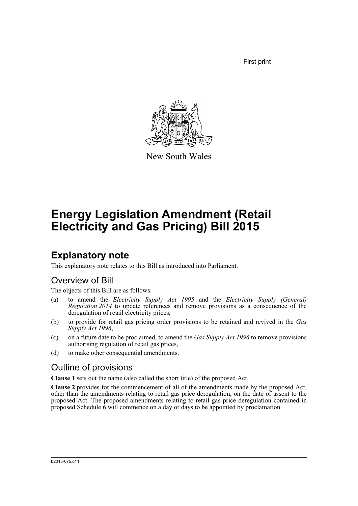First print



New South Wales

# **Energy Legislation Amendment (Retail Electricity and Gas Pricing) Bill 2015**

# **Explanatory note**

This explanatory note relates to this Bill as introduced into Parliament.

### Overview of Bill

The objects of this Bill are as follows:

- (a) to amend the *Electricity Supply Act 1995* and the *Electricity Supply (General) Regulation 2014* to update references and remove provisions as a consequence of the deregulation of retail electricity prices,
- (b) to provide for retail gas pricing order provisions to be retained and revived in the *Gas Supply Act 1996*,
- (c) on a future date to be proclaimed, to amend the *Gas Supply Act 1996* to remove provisions authorising regulation of retail gas prices,
- (d) to make other consequential amendments.

### Outline of provisions

**Clause 1** sets out the name (also called the short title) of the proposed Act.

**Clause 2** provides for the commencement of all of the amendments made by the proposed Act, other than the amendments relating to retail gas price deregulation, on the date of assent to the proposed Act. The proposed amendments relating to retail gas price deregulation contained in proposed Schedule 6 will commence on a day or days to be appointed by proclamation.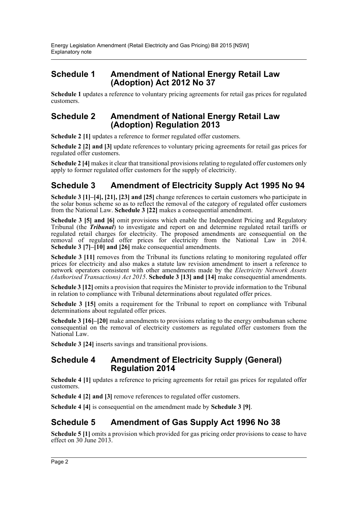### **Schedule 1 Amendment of National Energy Retail Law (Adoption) Act 2012 No 37**

**Schedule 1** updates a reference to voluntary pricing agreements for retail gas prices for regulated customers.

#### **Schedule 2 Amendment of National Energy Retail Law (Adoption) Regulation 2013**

**Schedule 2 [1]** updates a reference to former regulated offer customers.

**Schedule 2 [2] and [3]** update references to voluntary pricing agreements for retail gas prices for regulated offer customers.

**Schedule 2 [4]** makes it clear that transitional provisions relating to regulated offer customers only apply to former regulated offer customers for the supply of electricity.

### **Schedule 3 Amendment of Electricity Supply Act 1995 No 94**

**Schedule 3 [1]–[4], [21], [23] and [25]** change references to certain customers who participate in the solar bonus scheme so as to reflect the removal of the category of regulated offer customers from the National Law. **Schedule 3 [22]** makes a consequential amendment.

**Schedule 3 [5] and [6]** omit provisions which enable the Independent Pricing and Regulatory Tribunal (the *Tribunal*) to investigate and report on and determine regulated retail tariffs or regulated retail charges for electricity. The proposed amendments are consequential on the removal of regulated offer prices for electricity from the National Law in 2014. **Schedule 3 [7]–[10] and [26]** make consequential amendments.

**Schedule 3 [11]** removes from the Tribunal its functions relating to monitoring regulated offer prices for electricity and also makes a statute law revision amendment to insert a reference to network operators consistent with other amendments made by the *Electricity Network Assets (Authorised Transactions) Act 2015*. **Schedule 3 [13] and [14]** make consequential amendments.

**Schedule 3 [12]** omits a provision that requires the Minister to provide information to the Tribunal in relation to compliance with Tribunal determinations about regulated offer prices.

**Schedule 3 [15]** omits a requirement for the Tribunal to report on compliance with Tribunal determinations about regulated offer prices.

**Schedule 3 [16]–[20]** make amendments to provisions relating to the energy ombudsman scheme consequential on the removal of electricity customers as regulated offer customers from the National Law.

**Schedule 3 [24]** inserts savings and transitional provisions.

#### **Schedule 4 Amendment of Electricity Supply (General) Regulation 2014**

**Schedule 4 [1]** updates a reference to pricing agreements for retail gas prices for regulated offer customers.

**Schedule 4 [2] and [3]** remove references to regulated offer customers.

**Schedule 4 [4]** is consequential on the amendment made by **Schedule 3 [9]**.

### **Schedule 5 Amendment of Gas Supply Act 1996 No 38**

Schedule 5 [1] omits a provision which provided for gas pricing order provisions to cease to have effect on 30 June 2013.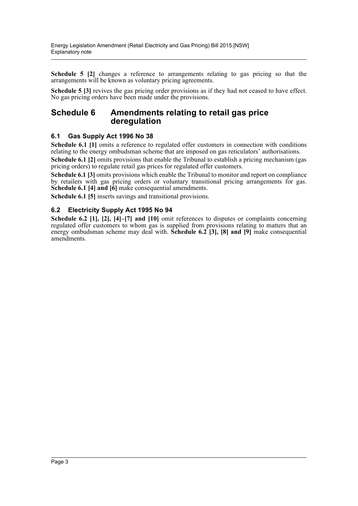**Schedule 5 [2]** changes a reference to arrangements relating to gas pricing so that the arrangements will be known as voluntary pricing agreements.

**Schedule 5 [3]** revives the gas pricing order provisions as if they had not ceased to have effect. No gas pricing orders have been made under the provisions.

#### **Schedule 6 Amendments relating to retail gas price deregulation**

#### **6.1 Gas Supply Act 1996 No 38**

**Schedule 6.1** [1] omits a reference to regulated offer customers in connection with conditions relating to the energy ombudsman scheme that are imposed on gas reticulators' authorisations.

**Schedule 6.1 [2]** omits provisions that enable the Tribunal to establish a pricing mechanism (gas pricing orders) to regulate retail gas prices for regulated offer customers.

**Schedule 6.1 [3]** omits provisions which enable the Tribunal to monitor and report on compliance by retailers with gas pricing orders or voluntary transitional pricing arrangements for gas. **Schedule 6.1 [4] and [6]** make consequential amendments.

**Schedule 6.1 [5]** inserts savings and transitional provisions.

#### **6.2 Electricity Supply Act 1995 No 94**

**Schedule 6.2 [1], [2], [4]–[7] and [10]** omit references to disputes or complaints concerning regulated offer customers to whom gas is supplied from provisions relating to matters that an energy ombudsman scheme may deal with. **Schedule 6.2 [3], [8] and [9]** make consequential amendments.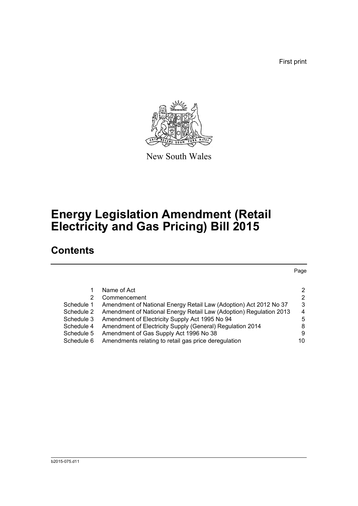First print

Page



New South Wales

# **Energy Legislation Amendment (Retail Electricity and Gas Pricing) Bill 2015**

## **Contents**

[1 Name of Act 2](#page-5-0) [2 Commencement 2](#page-5-1) 2 [Schedule 1 Amendment of National Energy Retail Law \(Adoption\) Act 2012 No 37 3](#page-6-0) [Schedule 2 Amendment of National Energy Retail Law \(Adoption\) Regulation 2013 4](#page-7-0) [Schedule 3 Amendment of Electricity Supply Act 1995 No 94 5](#page-8-0) [Schedule 4 Amendment of Electricity Supply \(General\) Regulation 2014 8](#page-11-0) [Schedule 5 Amendment of Gas Supply Act 1996 No 38 9](#page-12-0) Schedule 6 Amendments relating to retail gas price deregulation  $10$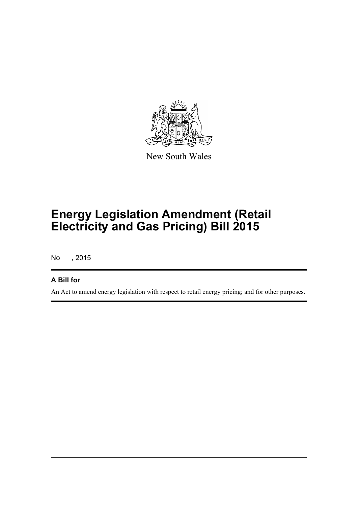

New South Wales

# **Energy Legislation Amendment (Retail Electricity and Gas Pricing) Bill 2015**

No , 2015

#### **A Bill for**

An Act to amend energy legislation with respect to retail energy pricing; and for other purposes.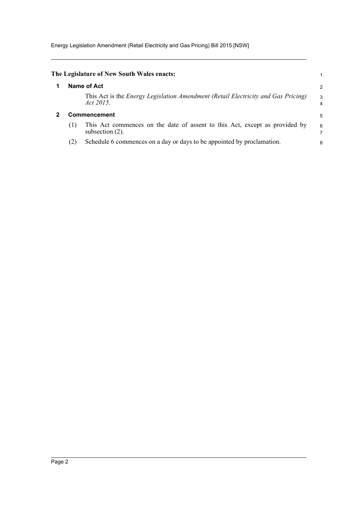Energy Legislation Amendment (Retail Electricity and Gas Pricing) Bill 2015 [NSW]

<span id="page-5-1"></span><span id="page-5-0"></span>

|                     | The Legislature of New South Wales enacts:                                                            |                     |
|---------------------|-------------------------------------------------------------------------------------------------------|---------------------|
|                     | Name of Act                                                                                           | 2                   |
|                     | This Act is the <i>Energy Legislation Amendment (Retail Electricity and Gas Pricing)</i><br>Act 2015. | 3<br>$\overline{4}$ |
| <b>Commencement</b> |                                                                                                       | 5                   |
| (1)                 | This Act commences on the date of assent to this Act, except as provided by<br>subsection $(2)$ .     | 6                   |
| (2)                 | Schedule 6 commences on a day or days to be appointed by proclamation.                                | 8                   |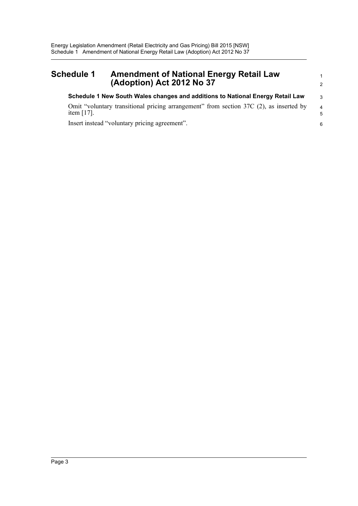#### <span id="page-6-0"></span>**Schedule 1 Amendment of National Energy Retail Law (Adoption) Act 2012 No 37 Schedule 1 New South Wales changes and additions to National Energy Retail Law** Omit "voluntary transitional pricing arrangement" from section 37C (2), as inserted by item [17]. 1 2 3 4 5

6

Insert instead "voluntary pricing agreement".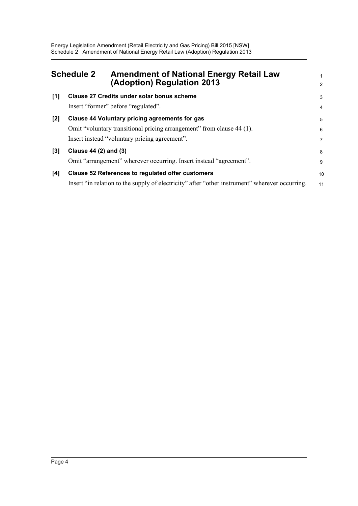<span id="page-7-0"></span>

| <b>Schedule 2</b> |                       | <b>Amendment of National Energy Retail Law</b><br>(Adoption) Regulation 2013                                                                                             | 2                        |
|-------------------|-----------------------|--------------------------------------------------------------------------------------------------------------------------------------------------------------------------|--------------------------|
| [1]               |                       | Clause 27 Credits under solar bonus scheme<br>Insert "former" before "regulated".                                                                                        | 3<br>$\overline{4}$      |
| $[2]$             |                       | Clause 44 Voluntary pricing agreements for gas<br>Omit "voluntary transitional pricing arrangement" from clause 44 (1).<br>Insert instead "voluntary pricing agreement". | 5<br>6<br>$\overline{7}$ |
| $[3]$             | Clause 44 (2) and (3) | Omit "arrangement" wherever occurring. Insert instead "agreement".                                                                                                       | 8<br>9                   |
| [4]               |                       | <b>Clause 52 References to regulated offer customers</b><br>Insert "in relation to the supply of electricity" after "other instrument" wherever occurring.               | 10<br>11                 |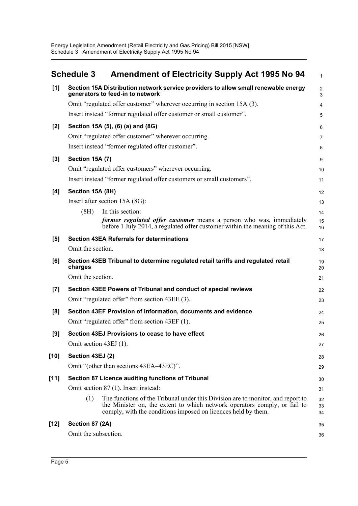<span id="page-8-0"></span>

|        | <b>Schedule 3</b>      | <b>Amendment of Electricity Supply Act 1995 No 94</b>                                                                                                                                                                         | $\mathbf{1}$                  |
|--------|------------------------|-------------------------------------------------------------------------------------------------------------------------------------------------------------------------------------------------------------------------------|-------------------------------|
| [1]    |                        | Section 15A Distribution network service providers to allow small renewable energy<br>generators to feed-in to network                                                                                                        | $\overline{2}$<br>$\mathsf 3$ |
|        |                        | Omit "regulated offer customer" wherever occurring in section 15A (3).                                                                                                                                                        | 4                             |
|        |                        | Insert instead "former regulated offer customer or small customer".                                                                                                                                                           | 5                             |
| $[2]$  |                        | Section 15A (5), (6) (a) and (8G)                                                                                                                                                                                             | 6                             |
|        |                        | Omit "regulated offer customer" wherever occurring.                                                                                                                                                                           | 7                             |
|        |                        | Insert instead "former regulated offer customer".                                                                                                                                                                             | 8                             |
| $[3]$  | <b>Section 15A (7)</b> |                                                                                                                                                                                                                               | 9                             |
|        |                        | Omit "regulated offer customers" wherever occurring.                                                                                                                                                                          | 10                            |
|        |                        | Insert instead "former regulated offer customers or small customers".                                                                                                                                                         | 11                            |
| [4]    | Section 15A (8H)       |                                                                                                                                                                                                                               | 12                            |
|        |                        | Insert after section 15A (8G):                                                                                                                                                                                                | 13                            |
|        | (8H)                   | In this section:                                                                                                                                                                                                              | 14                            |
|        |                        | former regulated offer customer means a person who was, immediately<br>before 1 July 2014, a regulated offer customer within the meaning of this Act.                                                                         | 15<br>16                      |
| [5]    |                        | <b>Section 43EA Referrals for determinations</b>                                                                                                                                                                              | 17                            |
|        | Omit the section.      |                                                                                                                                                                                                                               | 18                            |
| [6]    | charges                | Section 43EB Tribunal to determine regulated retail tariffs and regulated retail                                                                                                                                              | 19<br>20                      |
|        | Omit the section.      |                                                                                                                                                                                                                               | 21                            |
| $[7]$  |                        | Section 43EE Powers of Tribunal and conduct of special reviews                                                                                                                                                                | 22                            |
|        |                        | Omit "regulated offer" from section 43EE (3).                                                                                                                                                                                 | 23                            |
| [8]    |                        | Section 43EF Provision of information, documents and evidence                                                                                                                                                                 | 24                            |
|        |                        | Omit "regulated offer" from section 43EF (1).                                                                                                                                                                                 | 25                            |
| [9]    |                        | Section 43EJ Provisions to cease to have effect                                                                                                                                                                               | 26                            |
|        | Omit section 43EJ (1). |                                                                                                                                                                                                                               | 27                            |
| [10]   | Section 43EJ (2)       |                                                                                                                                                                                                                               | 28                            |
|        |                        | Omit "(other than sections 43EA-43EC)".                                                                                                                                                                                       | 29                            |
| $[11]$ |                        | Section 87 Licence auditing functions of Tribunal                                                                                                                                                                             | 30                            |
|        |                        | Omit section 87 (1). Insert instead:                                                                                                                                                                                          | 31                            |
|        | (1)                    | The functions of the Tribunal under this Division are to monitor, and report to<br>the Minister on, the extent to which network operators comply, or fail to<br>comply, with the conditions imposed on licences held by them. | 32<br>33<br>34                |
| [12]   | Section 87 (2A)        |                                                                                                                                                                                                                               | 35                            |
|        | Omit the subsection.   |                                                                                                                                                                                                                               | 36                            |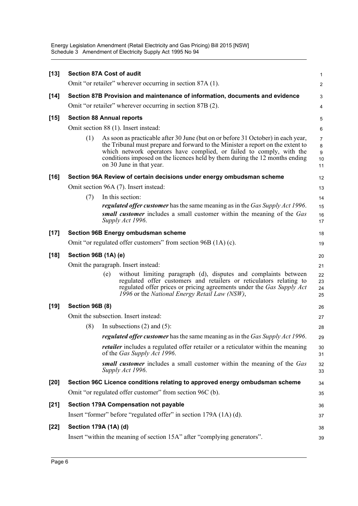Energy Legislation Amendment (Retail Electricity and Gas Pricing) Bill 2015 [NSW] Schedule 3 Amendment of Electricity Supply Act 1995 No 94

| $[13]$ | <b>Section 87A Cost of audit</b>                                               |                                                                                                                                                                                                                                                                                                                                                        | $\mathbf{1}$                         |  |  |
|--------|--------------------------------------------------------------------------------|--------------------------------------------------------------------------------------------------------------------------------------------------------------------------------------------------------------------------------------------------------------------------------------------------------------------------------------------------------|--------------------------------------|--|--|
|        |                                                                                | Omit "or retailer" wherever occurring in section 87A (1).                                                                                                                                                                                                                                                                                              | 2                                    |  |  |
| $[14]$ |                                                                                | Section 87B Provision and maintenance of information, documents and evidence                                                                                                                                                                                                                                                                           | 3                                    |  |  |
|        |                                                                                | Omit "or retailer" wherever occurring in section 87B (2).                                                                                                                                                                                                                                                                                              | 4                                    |  |  |
| $[15]$ |                                                                                | <b>Section 88 Annual reports</b>                                                                                                                                                                                                                                                                                                                       | 5                                    |  |  |
|        |                                                                                | Omit section 88 (1). Insert instead:                                                                                                                                                                                                                                                                                                                   | 6                                    |  |  |
|        | (1)                                                                            | As soon as practicable after 30 June (but on or before 31 October) in each year,<br>the Tribunal must prepare and forward to the Minister a report on the extent to<br>which network operators have complied, or failed to comply, with the<br>conditions imposed on the licences held by them during the 12 months ending<br>on 30 June in that year. | $\overline{7}$<br>8<br>9<br>10<br>11 |  |  |
| $[16]$ |                                                                                | Section 96A Review of certain decisions under energy ombudsman scheme                                                                                                                                                                                                                                                                                  | 12                                   |  |  |
|        |                                                                                | Omit section 96A (7). Insert instead:                                                                                                                                                                                                                                                                                                                  | 13                                   |  |  |
|        | (7)                                                                            | In this section:                                                                                                                                                                                                                                                                                                                                       | 14                                   |  |  |
|        |                                                                                | <i>regulated offer customer</i> has the same meaning as in the <i>Gas Supply Act 1996</i> .                                                                                                                                                                                                                                                            | 15                                   |  |  |
|        |                                                                                | small customer includes a small customer within the meaning of the Gas<br>Supply Act 1996.                                                                                                                                                                                                                                                             | 16<br>17                             |  |  |
| $[17]$ |                                                                                | <b>Section 96B Energy ombudsman scheme</b>                                                                                                                                                                                                                                                                                                             | 18                                   |  |  |
|        |                                                                                | Omit "or regulated offer customers" from section 96B (1A) (c).                                                                                                                                                                                                                                                                                         | 19                                   |  |  |
| $[18]$ | Section 96B (1A) (e)                                                           |                                                                                                                                                                                                                                                                                                                                                        |                                      |  |  |
|        | Omit the paragraph. Insert instead:<br>21                                      |                                                                                                                                                                                                                                                                                                                                                        |                                      |  |  |
|        |                                                                                | without limiting paragraph (d), disputes and complaints between<br>(e)<br>regulated offer customers and retailers or reticulators relating to<br>regulated offer prices or pricing agreements under the Gas Supply Act<br>1996 or the National Energy Retail Law (NSW),                                                                                | 22<br>23<br>24<br>25                 |  |  |
| $[19]$ | Section 96B (8)                                                                |                                                                                                                                                                                                                                                                                                                                                        | 26                                   |  |  |
|        |                                                                                | Omit the subsection. Insert instead:                                                                                                                                                                                                                                                                                                                   | 27                                   |  |  |
|        | (8)                                                                            | In subsections $(2)$ and $(5)$ :                                                                                                                                                                                                                                                                                                                       | 28                                   |  |  |
|        |                                                                                | regulated offer customer has the same meaning as in the Gas Supply Act 1996.                                                                                                                                                                                                                                                                           | 29                                   |  |  |
|        |                                                                                | <i>retailer</i> includes a regulated offer retailer or a reticulator within the meaning<br>of the Gas Supply Act 1996.                                                                                                                                                                                                                                 | 30<br>31                             |  |  |
|        |                                                                                | small customer includes a small customer within the meaning of the Gas<br>Supply Act 1996.                                                                                                                                                                                                                                                             | 32<br>33                             |  |  |
| $[20]$ |                                                                                | Section 96C Licence conditions relating to approved energy ombudsman scheme                                                                                                                                                                                                                                                                            | 34                                   |  |  |
|        |                                                                                | Omit "or regulated offer customer" from section 96C (b).                                                                                                                                                                                                                                                                                               | 35                                   |  |  |
| $[21]$ | Section 179A Compensation not payable                                          |                                                                                                                                                                                                                                                                                                                                                        |                                      |  |  |
|        |                                                                                | Insert "former" before "regulated offer" in section 179A (1A) (d).                                                                                                                                                                                                                                                                                     | 37                                   |  |  |
| $[22]$ | Section 179A (1A) (d)                                                          |                                                                                                                                                                                                                                                                                                                                                        | 38                                   |  |  |
|        | Insert "within the meaning of section 15A" after "complying generators".<br>39 |                                                                                                                                                                                                                                                                                                                                                        |                                      |  |  |
|        |                                                                                |                                                                                                                                                                                                                                                                                                                                                        |                                      |  |  |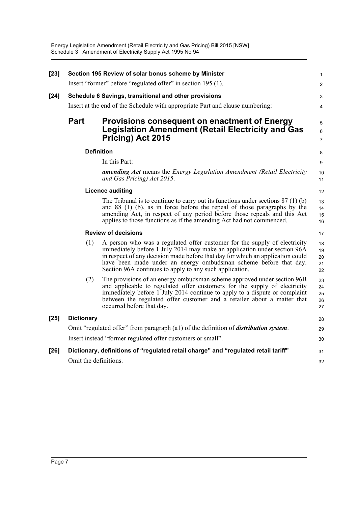| $[23]$ |                                                             | Section 195 Review of solar bonus scheme by Minister                                                                                                                                                                                                                                                                                                                   | $\mathbf{1}$               |  |
|--------|-------------------------------------------------------------|------------------------------------------------------------------------------------------------------------------------------------------------------------------------------------------------------------------------------------------------------------------------------------------------------------------------------------------------------------------------|----------------------------|--|
|        |                                                             | Insert "former" before "regulated offer" in section 195 (1).                                                                                                                                                                                                                                                                                                           | $\overline{2}$             |  |
| $[24]$ |                                                             | Schedule 6 Savings, transitional and other provisions                                                                                                                                                                                                                                                                                                                  | 3                          |  |
|        |                                                             | Insert at the end of the Schedule with appropriate Part and clause numbering:                                                                                                                                                                                                                                                                                          | 4                          |  |
|        | <b>Part</b>                                                 | Provisions consequent on enactment of Energy<br><b>Legislation Amendment (Retail Electricity and Gas</b><br>Pricing) Act 2015                                                                                                                                                                                                                                          | 5<br>6<br>$\overline{7}$   |  |
|        |                                                             | <b>Definition</b>                                                                                                                                                                                                                                                                                                                                                      | 8                          |  |
|        |                                                             | In this Part:                                                                                                                                                                                                                                                                                                                                                          | 9                          |  |
|        |                                                             | <b>amending Act</b> means the <i>Energy Legislation Amendment (Retail Electricity</i><br>and Gas Pricing) Act 2015.                                                                                                                                                                                                                                                    | 10<br>11                   |  |
|        |                                                             | <b>Licence auditing</b>                                                                                                                                                                                                                                                                                                                                                | 12                         |  |
|        |                                                             | The Tribunal is to continue to carry out its functions under sections $87(1)(b)$<br>and 88 (1) (b), as in force before the repeal of those paragraphs by the<br>amending Act, in respect of any period before those repeals and this Act<br>applies to those functions as if the amending Act had not commenced.                                                       | 13<br>14<br>15<br>16       |  |
|        |                                                             | <b>Review of decisions</b>                                                                                                                                                                                                                                                                                                                                             | 17                         |  |
|        | (1)                                                         | A person who was a regulated offer customer for the supply of electricity<br>immediately before 1 July 2014 may make an application under section 96A<br>in respect of any decision made before that day for which an application could<br>have been made under an energy ombudsman scheme before that day.<br>Section 96A continues to apply to any such application. | 18<br>19<br>20<br>21<br>22 |  |
|        | (2)                                                         | The provisions of an energy ombudsman scheme approved under section 96B<br>and applicable to regulated offer customers for the supply of electricity<br>immediately before 1 July 2014 continue to apply to a dispute or complaint<br>between the regulated offer customer and a retailer about a matter that<br>occurred before that day.                             | 23<br>24<br>25<br>26<br>27 |  |
| $[25]$ | <b>Dictionary</b>                                           |                                                                                                                                                                                                                                                                                                                                                                        | 28                         |  |
|        |                                                             | Omit "regulated offer" from paragraph (a1) of the definition of <i>distribution system</i> .                                                                                                                                                                                                                                                                           | 29                         |  |
|        | Insert instead "former regulated offer customers or small". |                                                                                                                                                                                                                                                                                                                                                                        |                            |  |
| $[26]$ |                                                             | Dictionary, definitions of "regulated retail charge" and "regulated retail tariff"                                                                                                                                                                                                                                                                                     | 31                         |  |
|        | Omit the definitions.                                       |                                                                                                                                                                                                                                                                                                                                                                        | 32                         |  |
|        |                                                             |                                                                                                                                                                                                                                                                                                                                                                        |                            |  |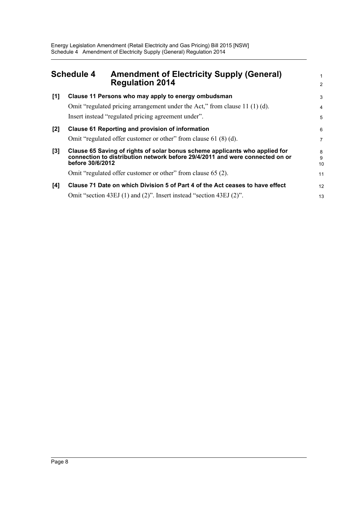<span id="page-11-0"></span>

| <b>Schedule 4</b> |                  | <b>Amendment of Electricity Supply (General)</b><br><b>Regulation 2014</b>    | 1<br>2  |
|-------------------|------------------|-------------------------------------------------------------------------------|---------|
| [1]               |                  | Clause 11 Persons who may apply to energy ombudsman                           | 3       |
|                   |                  | Omit "regulated pricing arrangement under the Act," from clause 11 $(1)$ (d). | 4       |
|                   |                  | Insert instead "regulated pricing agreement under".                           | 5       |
| $[2]$             |                  | Clause 61 Reporting and provision of information                              | 6       |
|                   |                  | Omit "regulated offer customer or other" from clause 61 (8) (d).              | 7       |
| $[3]$             |                  | Clause 65 Saving of rights of solar bonus scheme applicants who applied for   | 8       |
|                   | before 30/6/2012 | connection to distribution network before 29/4/2011 and were connected on or  | 9<br>10 |
|                   |                  | Omit "regulated offer customer or other" from clause 65 (2).                  | 11      |
| [4]               |                  | Clause 71 Date on which Division 5 of Part 4 of the Act ceases to have effect | 12      |
|                   |                  | Omit "section 43EJ (1) and (2)". Insert instead "section 43EJ (2)".           | 13      |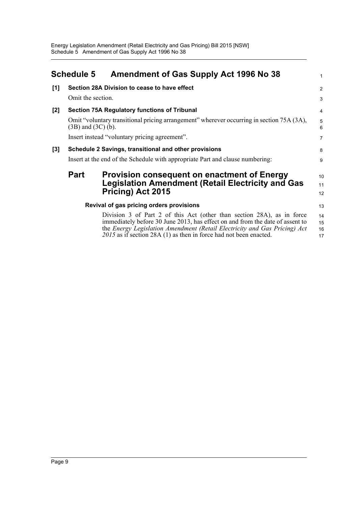<span id="page-12-0"></span>

|     | <b>Schedule 5</b>                                                                                                   | Amendment of Gas Supply Act 1996 No 38                                                                                                                                                                                                                                                                      | 1                    |  |  |
|-----|---------------------------------------------------------------------------------------------------------------------|-------------------------------------------------------------------------------------------------------------------------------------------------------------------------------------------------------------------------------------------------------------------------------------------------------------|----------------------|--|--|
| [1] |                                                                                                                     | Section 28A Division to cease to have effect                                                                                                                                                                                                                                                                | 2                    |  |  |
|     | Omit the section.                                                                                                   |                                                                                                                                                                                                                                                                                                             | 3                    |  |  |
| [2] |                                                                                                                     | <b>Section 75A Regulatory functions of Tribunal</b>                                                                                                                                                                                                                                                         | 4                    |  |  |
|     | Omit "voluntary transitional pricing arrangement" wherever occurring in section 75A (3A),<br>$(3B)$ and $(3C)$ (b). |                                                                                                                                                                                                                                                                                                             |                      |  |  |
|     | Insert instead "voluntary pricing agreement".                                                                       |                                                                                                                                                                                                                                                                                                             |                      |  |  |
| [3] | Schedule 2 Savings, transitional and other provisions                                                               |                                                                                                                                                                                                                                                                                                             |                      |  |  |
|     | Insert at the end of the Schedule with appropriate Part and clause numbering:                                       |                                                                                                                                                                                                                                                                                                             |                      |  |  |
|     | <b>Part</b>                                                                                                         | <b>Provision consequent on enactment of Energy</b>                                                                                                                                                                                                                                                          | 10                   |  |  |
|     |                                                                                                                     | <b>Legislation Amendment (Retail Electricity and Gas</b>                                                                                                                                                                                                                                                    | 11                   |  |  |
|     |                                                                                                                     | Pricing) Act 2015                                                                                                                                                                                                                                                                                           | 12                   |  |  |
|     |                                                                                                                     | Revival of gas pricing orders provisions                                                                                                                                                                                                                                                                    | 13                   |  |  |
|     |                                                                                                                     | Division 3 of Part 2 of this Act (other than section 28A), as in force<br>immediately before 30 June 2013, has effect on and from the date of assent to<br>the Energy Legislation Amendment (Retail Electricity and Gas Pricing) Act<br>$2015$ as if section 28A (1) as then in force had not been enacted. | 14<br>15<br>16<br>17 |  |  |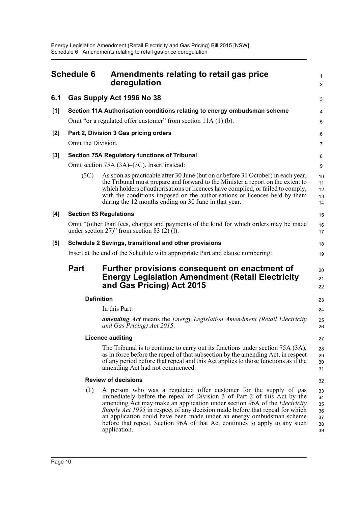<span id="page-13-0"></span>

| <b>Schedule 6</b> |                                                       | Amendments relating to retail gas price<br>deregulation                                                                                                                                                                                                                                                                                                                                                                                                                                 | $\mathbf{1}$<br>2                      |  |  |
|-------------------|-------------------------------------------------------|-----------------------------------------------------------------------------------------------------------------------------------------------------------------------------------------------------------------------------------------------------------------------------------------------------------------------------------------------------------------------------------------------------------------------------------------------------------------------------------------|----------------------------------------|--|--|
| 6.1               |                                                       | Gas Supply Act 1996 No 38                                                                                                                                                                                                                                                                                                                                                                                                                                                               | 3                                      |  |  |
| [1]               |                                                       | Section 11A Authorisation conditions relating to energy ombudsman scheme                                                                                                                                                                                                                                                                                                                                                                                                                | 4                                      |  |  |
|                   |                                                       | Omit "or a regulated offer customer" from section 11A (1) (b).                                                                                                                                                                                                                                                                                                                                                                                                                          | 5                                      |  |  |
| [2]               | Omit the Division.                                    | Part 2, Division 3 Gas pricing orders                                                                                                                                                                                                                                                                                                                                                                                                                                                   | 6<br>7                                 |  |  |
| [3]               |                                                       | Section 75A Regulatory functions of Tribunal                                                                                                                                                                                                                                                                                                                                                                                                                                            |                                        |  |  |
|                   |                                                       | Omit section 75A (3A)–(3C). Insert instead:                                                                                                                                                                                                                                                                                                                                                                                                                                             | 8<br>9                                 |  |  |
|                   | (3C)                                                  | As soon as practicable after 30 June (but on or before 31 October) in each year,<br>the Tribunal must prepare and forward to the Minister a report on the extent to<br>which holders of authorisations or licences have complied, or failed to comply,<br>with the conditions imposed on the authorisations or licences held by them<br>during the 12 months ending on 30 June in that year.                                                                                            | 10<br>11<br>12<br>13<br>14             |  |  |
| [4]               |                                                       | <b>Section 83 Regulations</b>                                                                                                                                                                                                                                                                                                                                                                                                                                                           | 15                                     |  |  |
|                   |                                                       | Omit "(other than fees, charges and payments of the kind for which orders may be made<br>under section 27)" from section 83 $(2)$ (1).                                                                                                                                                                                                                                                                                                                                                  | 16<br>17                               |  |  |
| [5]               | Schedule 2 Savings, transitional and other provisions |                                                                                                                                                                                                                                                                                                                                                                                                                                                                                         |                                        |  |  |
|                   |                                                       | Insert at the end of the Schedule with appropriate Part and clause numbering:                                                                                                                                                                                                                                                                                                                                                                                                           | 19                                     |  |  |
|                   | <b>Part</b>                                           | Further provisions consequent on enactment of<br><b>Energy Legislation Amendment (Retail Electricity</b><br>and Gas Pricing) Act 2015                                                                                                                                                                                                                                                                                                                                                   | 20<br>21<br>22                         |  |  |
|                   |                                                       | <b>Definition</b>                                                                                                                                                                                                                                                                                                                                                                                                                                                                       | 23                                     |  |  |
|                   |                                                       | In this Part:                                                                                                                                                                                                                                                                                                                                                                                                                                                                           | 24                                     |  |  |
|                   |                                                       | amending Act means the Energy Legislation Amendment (Retail Electricity<br>and Gas Pricing) Act 2015.                                                                                                                                                                                                                                                                                                                                                                                   | 25<br>26                               |  |  |
|                   |                                                       | <b>Licence auditing</b>                                                                                                                                                                                                                                                                                                                                                                                                                                                                 | 27                                     |  |  |
|                   |                                                       | The Tribunal is to continue to carry out its functions under section 75A (3A),<br>as in force before the repeal of that subsection by the amending Act, in respect<br>of any period before that repeal and this Act applies to those functions as if the<br>amending Act had not commenced.                                                                                                                                                                                             | 28<br>29<br>30<br>31                   |  |  |
|                   |                                                       | <b>Review of decisions</b>                                                                                                                                                                                                                                                                                                                                                                                                                                                              | 32                                     |  |  |
|                   | (1)                                                   | A person who was a regulated offer customer for the supply of gas<br>immediately before the repeal of Division 3 of Part 2 of this Act by the<br>amending Act may make an application under section 96A of the <i>Electricity</i><br>Supply Act 1995 in respect of any decision made before that repeal for which<br>an application could have been made under an energy ombudsman scheme<br>before that repeal. Section 96A of that Act continues to apply to any such<br>application. | 33<br>34<br>35<br>36<br>37<br>38<br>39 |  |  |